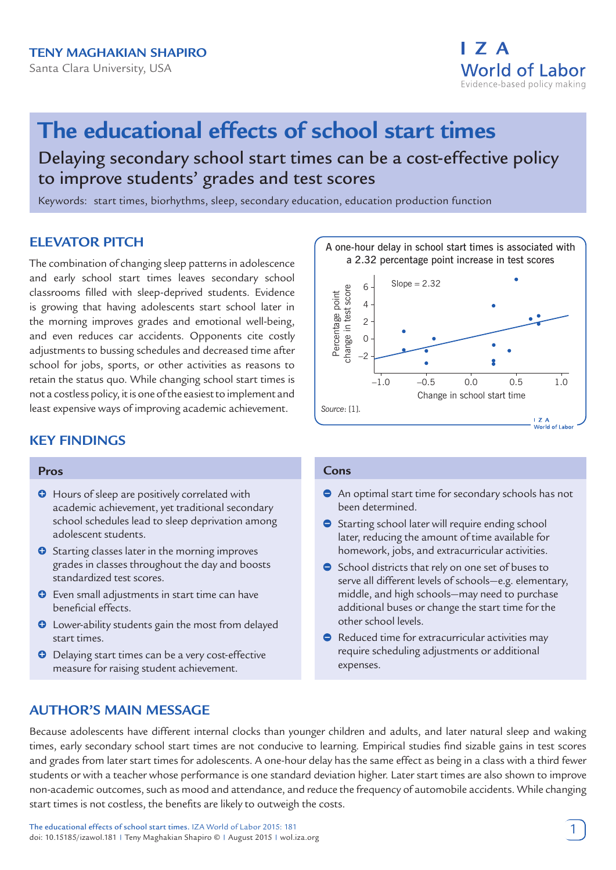

# **The educational effects of school start times**

Delaying secondary school start times can be a cost-effective policy to improve students' grades and test scores

Keywords: start times, biorhythms, sleep, secondary education, education production function

# **ELEVATOR PITCH**

The combination of changing sleep patterns in adolescence and early school start times leaves secondary school classrooms filled with sleep-deprived students. Evidence is growing that having adolescents start school later in the morning improves grades and emotional well-being, and even reduces car accidents. Opponents cite costly adjustments to bussing schedules and decreased time after school for jobs, sports, or other activities as reasons to retain the status quo. While changing school start times is not a costless policy, it is one of the easiest to implement and least expensive ways of improving academic achievement.

# **KEY FINDINGS**

#### **Pros**

- **O** Hours of sleep are positively correlated with academic achievement, yet traditional secondary school schedules lead to sleep deprivation among adolescent students.
- **O** Starting classes later in the morning improves grades in classes throughout the day and boosts standardized test scores.
- $\bullet$  Even small adjustments in start time can have beneficial effects.
- $\bullet$  Lower-ability students gain the most from delayed start times.
- $\Theta$  Delaying start times can be a very cost-effective measure for raising student achievement.



#### **Cons**

- An optimal start time for secondary schools has not been determined.
- $\bullet$  Starting school later will require ending school later, reducing the amount of time available for homework, jobs, and extracurricular activities.
- School districts that rely on one set of buses to serve all different levels of schools—e.g. elementary, middle, and high schools—may need to purchase additional buses or change the start time for the other school levels.
- Reduced time for extracurricular activities may require scheduling adjustments or additional expenses.

# **AUTHOR'S MAIN MESSAGE**

Because adolescents have different internal clocks than younger children and adults, and later natural sleep and waking times, early secondary school start times are not conducive to learning. Empirical studies find sizable gains in test scores and grades from later start times for adolescents. A one-hour delay has the same effect as being in a class with a third fewer students or with a teacher whose performance is one standard deviation higher. Later start times are also shown to improve non-academic outcomes, such as mood and attendance, and reduce the frequency of automobile accidents. While changing start times is not costless, the benefits are likely to outweigh the costs.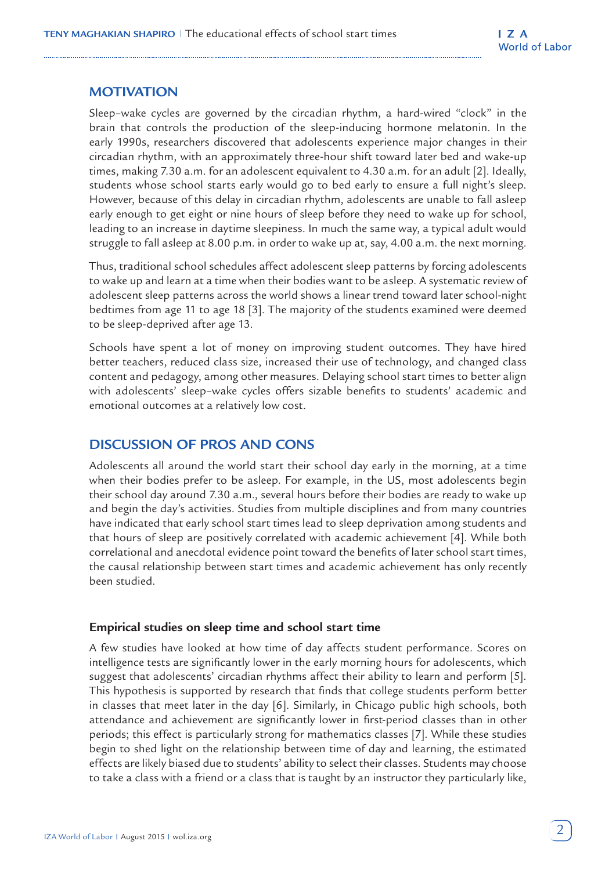# **MOTIVATION**

Sleep–wake cycles are governed by the circadian rhythm, a hard-wired "clock" in the brain that controls the production of the sleep-inducing hormone melatonin. In the early 1990s, researchers discovered that adolescents experience major changes in their circadian rhythm, with an approximately three-hour shift toward later bed and wake-up times, making 7.30 a.m. for an adolescent equivalent to 4.30 a.m. for an adult [2]. Ideally, students whose school starts early would go to bed early to ensure a full night's sleep. However, because of this delay in circadian rhythm, adolescents are unable to fall asleep early enough to get eight or nine hours of sleep before they need to wake up for school, leading to an increase in daytime sleepiness. In much the same way, a typical adult would struggle to fall asleep at 8.00 p.m. in order to wake up at, say, 4.00 a.m. the next morning.

Thus, traditional school schedules affect adolescent sleep patterns by forcing adolescents to wake up and learn at a time when their bodies want to be asleep. A systematic review of adolescent sleep patterns across the world shows a linear trend toward later school-night bedtimes from age 11 to age 18 [3]. The majority of the students examined were deemed to be sleep-deprived after age 13.

Schools have spent a lot of money on improving student outcomes. They have hired better teachers, reduced class size, increased their use of technology, and changed class content and pedagogy, among other measures. Delaying school start times to better align with adolescents' sleep–wake cycles offers sizable benefits to students' academic and emotional outcomes at a relatively low cost.

# **DISCUSSION OF PROS AND CONS**

Adolescents all around the world start their school day early in the morning, at a time when their bodies prefer to be asleep. For example, in the US, most adolescents begin their school day around 7.30 a.m., several hours before their bodies are ready to wake up and begin the day's activities. Studies from multiple disciplines and from many countries have indicated that early school start times lead to sleep deprivation among students and that hours of sleep are positively correlated with academic achievement [4]. While both correlational and anecdotal evidence point toward the benefits of later school start times, the causal relationship between start times and academic achievement has only recently been studied.

## **Empirical studies on sleep time and school start time**

A few studies have looked at how time of day affects student performance. Scores on intelligence tests are significantly lower in the early morning hours for adolescents, which suggest that adolescents' circadian rhythms affect their ability to learn and perform [5]. This hypothesis is supported by research that finds that college students perform better in classes that meet later in the day [6]. Similarly, in Chicago public high schools, both attendance and achievement are significantly lower in first-period classes than in other periods; this effect is particularly strong for mathematics classes [7]. While these studies begin to shed light on the relationship between time of day and learning, the estimated effects are likely biased due to students' ability to select their classes. Students may choose to take a class with a friend or a class that is taught by an instructor they particularly like,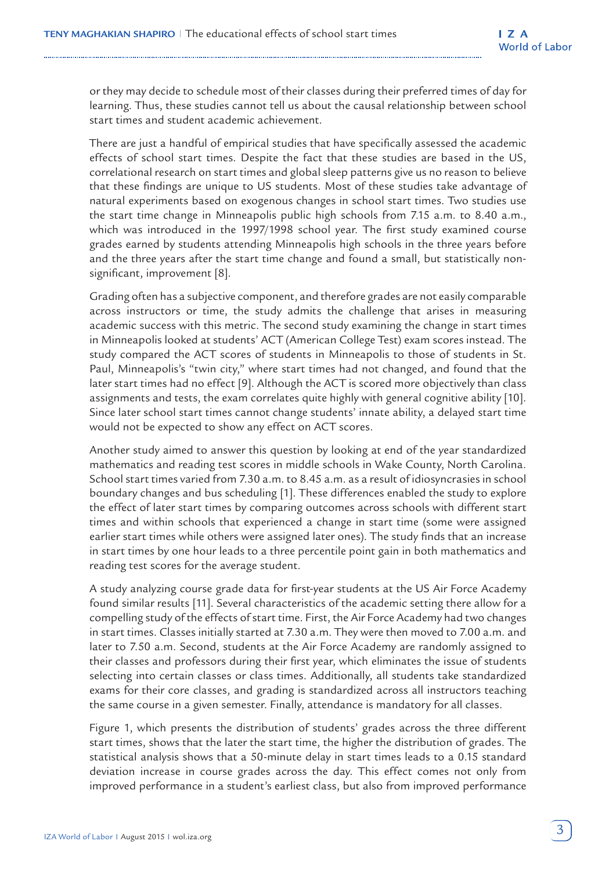or they may decide to schedule most of their classes during their preferred times of day for learning. Thus, these studies cannot tell us about the causal relationship between school start times and student academic achievement.

There are just a handful of empirical studies that have specifically assessed the academic effects of school start times. Despite the fact that these studies are based in the US, correlational research on start times and global sleep patterns give us no reason to believe that these findings are unique to US students. Most of these studies take advantage of natural experiments based on exogenous changes in school start times. Two studies use the start time change in Minneapolis public high schools from 7.15 a.m. to 8.40 a.m., which was introduced in the 1997/1998 school year. The first study examined course grades earned by students attending Minneapolis high schools in the three years before and the three years after the start time change and found a small, but statistically nonsignificant, improvement [8].

Grading often has a subjective component, and therefore grades are not easily comparable across instructors or time, the study admits the challenge that arises in measuring academic success with this metric. The second study examining the change in start times in Minneapolis looked at students' ACT (American College Test) exam scores instead. The study compared the ACT scores of students in Minneapolis to those of students in St. Paul, Minneapolis's "twin city," where start times had not changed, and found that the later start times had no effect [9]. Although the ACT is scored more objectively than class assignments and tests, the exam correlates quite highly with general cognitive ability [10]. Since later school start times cannot change students' innate ability, a delayed start time would not be expected to show any effect on ACT scores.

Another study aimed to answer this question by looking at end of the year standardized mathematics and reading test scores in middle schools in Wake County, North Carolina. School start times varied from 7.30 a.m. to 8.45 a.m. as a result of idiosyncrasies in school boundary changes and bus scheduling [1]. These differences enabled the study to explore the effect of later start times by comparing outcomes across schools with different start times and within schools that experienced a change in start time (some were assigned earlier start times while others were assigned later ones). The study finds that an increase in start times by one hour leads to a three percentile point gain in both mathematics and reading test scores for the average student.

A study analyzing course grade data for first-year students at the US Air Force Academy found similar results [11]. Several characteristics of the academic setting there allow for a compelling study of the effects of start time. First, the Air Force Academy had two changes in start times. Classes initially started at 7.30 a.m. They were then moved to 7.00 a.m. and later to 7.50 a.m. Second, students at the Air Force Academy are randomly assigned to their classes and professors during their first year, which eliminates the issue of students selecting into certain classes or class times. Additionally, all students take standardized exams for their core classes, and grading is standardized across all instructors teaching the same course in a given semester. Finally, attendance is mandatory for all classes.

Figure 1, which presents the distribution of students' grades across the three different start times, shows that the later the start time, the higher the distribution of grades. The statistical analysis shows that a 50-minute delay in start times leads to a 0.15 standard deviation increase in course grades across the day. This effect comes not only from improved performance in a student's earliest class, but also from improved performance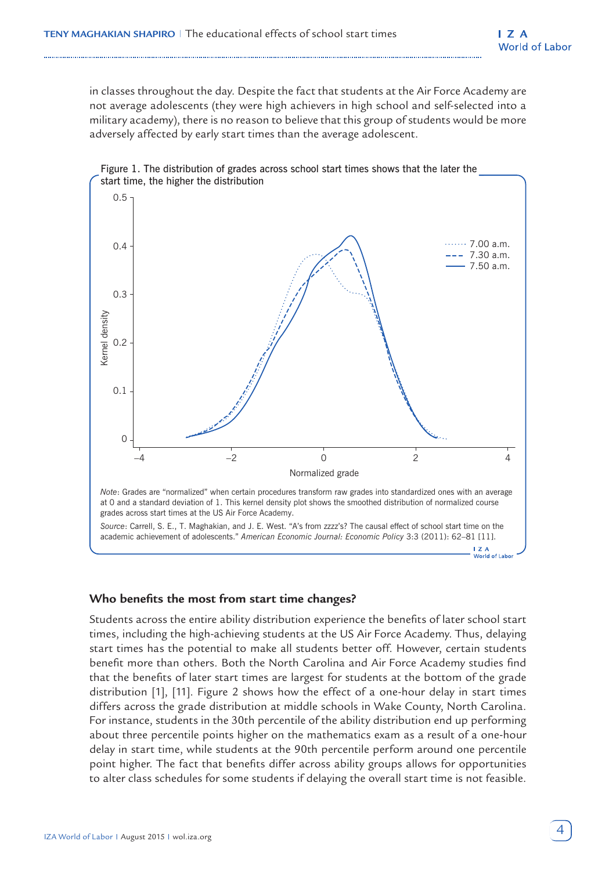in classes throughout the day. Despite the fact that students at the Air Force Academy are not average adolescents (they were high achievers in high school and self-selected into a military academy), there is no reason to believe that this group of students would be more adversely affected by early start times than the average adolescent.



#### **Who benefits the most from start time changes?**

Students across the entire ability distribution experience the benefits of later school start times, including the high-achieving students at the US Air Force Academy. Thus, delaying start times has the potential to make all students better off. However, certain students benefit more than others. Both the North Carolina and Air Force Academy studies find that the benefits of later start times are largest for students at the bottom of the grade distribution [1], [11]. Figure 2 shows how the effect of a one-hour delay in start times differs across the grade distribution at middle schools in Wake County, North Carolina. For instance, students in the 30th percentile of the ability distribution end up performing about three percentile points higher on the mathematics exam as a result of a one-hour delay in start time, while students at the 90th percentile perform around one percentile point higher. The fact that benefits differ across ability groups allows for opportunities to alter class schedules for some students if delaying the overall start time is not feasible.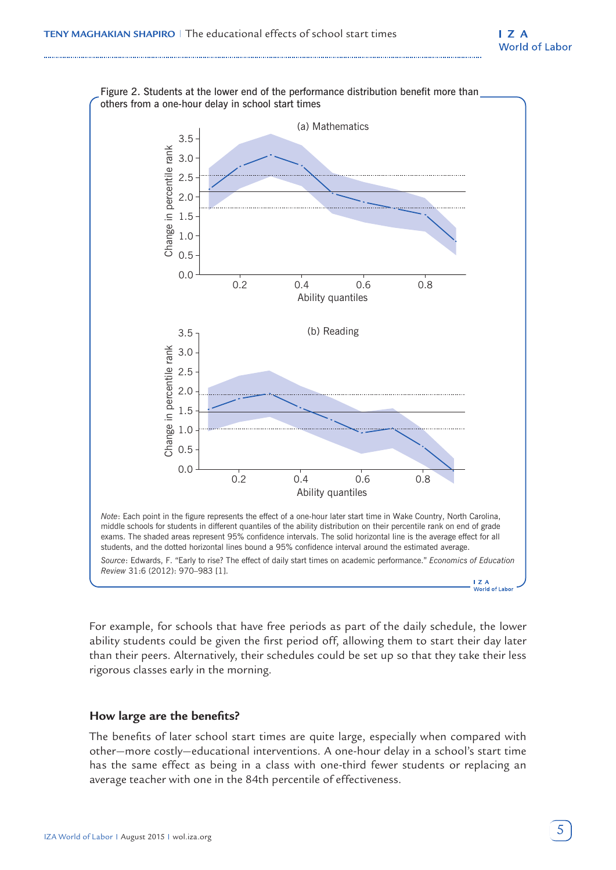

For example, for schools that have free periods as part of the daily schedule, the lower ability students could be given the first period off, allowing them to start their day later than their peers. Alternatively, their schedules could be set up so that they take their less rigorous classes early in the morning.

#### **How large are the benefits?**

The benefits of later school start times are quite large, especially when compared with other—more costly—educational interventions. A one-hour delay in a school's start time has the same effect as being in a class with one-third fewer students or replacing an average teacher with one in the 84th percentile of effectiveness.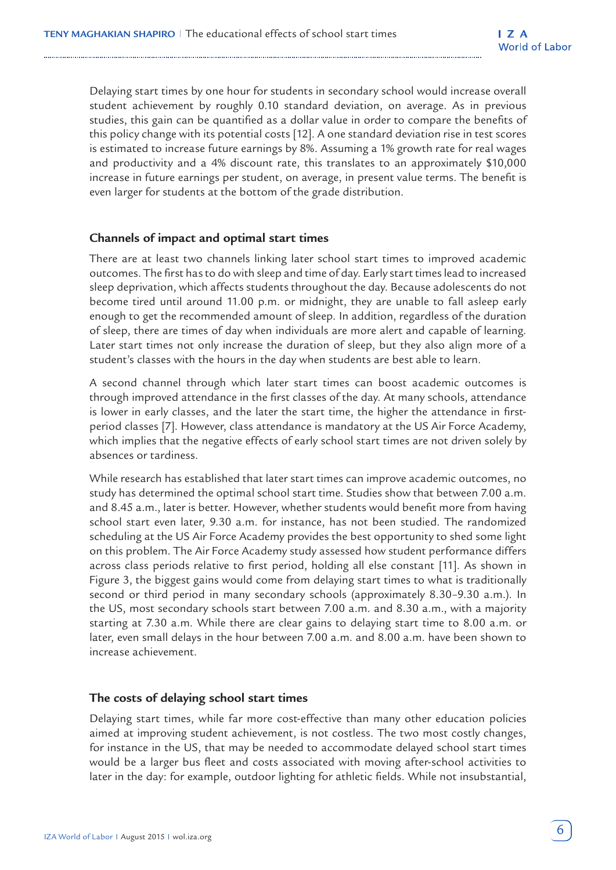Delaying start times by one hour for students in secondary school would increase overall student achievement by roughly 0.10 standard deviation, on average. As in previous studies, this gain can be quantified as a dollar value in order to compare the benefits of this policy change with its potential costs [12]. A one standard deviation rise in test scores is estimated to increase future earnings by 8%. Assuming a 1% growth rate for real wages and productivity and a 4% discount rate, this translates to an approximately \$10,000 increase in future earnings per student, on average, in present value terms. The benefit is even larger for students at the bottom of the grade distribution.

#### **Channels of impact and optimal start times**

There are at least two channels linking later school start times to improved academic outcomes. The first has to do with sleep and time of day. Early start times lead to increased sleep deprivation, which affects students throughout the day. Because adolescents do not become tired until around 11.00 p.m. or midnight, they are unable to fall asleep early enough to get the recommended amount of sleep. In addition, regardless of the duration of sleep, there are times of day when individuals are more alert and capable of learning. Later start times not only increase the duration of sleep, but they also align more of a student's classes with the hours in the day when students are best able to learn.

A second channel through which later start times can boost academic outcomes is through improved attendance in the first classes of the day. At many schools, attendance is lower in early classes, and the later the start time, the higher the attendance in firstperiod classes [7]. However, class attendance is mandatory at the US Air Force Academy, which implies that the negative effects of early school start times are not driven solely by absences or tardiness.

While research has established that later start times can improve academic outcomes, no study has determined the optimal school start time. Studies show that between 7.00 a.m. and 8.45 a.m., later is better. However, whether students would benefit more from having school start even later, 9.30 a.m. for instance, has not been studied. The randomized scheduling at the US Air Force Academy provides the best opportunity to shed some light on this problem. The Air Force Academy study assessed how student performance differs across class periods relative to first period, holding all else constant [11]. As shown in Figure 3, the biggest gains would come from delaying start times to what is traditionally second or third period in many secondary schools (approximately 8.30–9.30 a.m.). In the US, most secondary schools start between 7.00 a.m. and 8.30 a.m., with a majority starting at 7.30 a.m. While there are clear gains to delaying start time to 8.00 a.m. or later, even small delays in the hour between 7.00 a.m. and 8.00 a.m. have been shown to increase achievement.

### **The costs of delaying school start times**

Delaying start times, while far more cost-effective than many other education policies aimed at improving student achievement, is not costless. The two most costly changes, for instance in the US, that may be needed to accommodate delayed school start times would be a larger bus fleet and costs associated with moving after-school activities to later in the day: for example, outdoor lighting for athletic fields. While not insubstantial,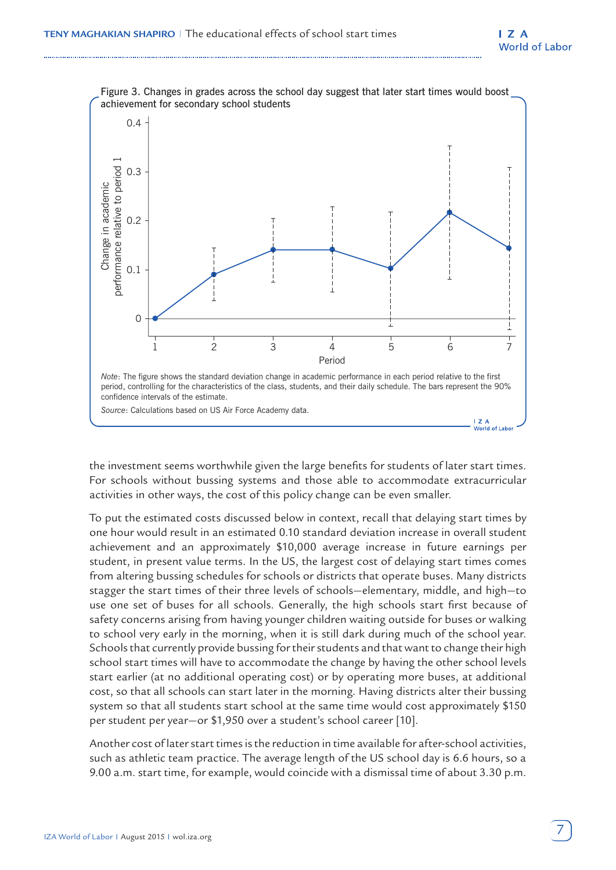

the investment seems worthwhile given the large benefits for students of later start times. For schools without bussing systems and those able to accommodate extracurricular activities in other ways, the cost of this policy change can be even smaller.

To put the estimated costs discussed below in context, recall that delaying start times by one hour would result in an estimated 0.10 standard deviation increase in overall student achievement and an approximately \$10,000 average increase in future earnings per student, in present value terms. In the US, the largest cost of delaying start times comes from altering bussing schedules for schools or districts that operate buses. Many districts stagger the start times of their three levels of schools—elementary, middle, and high—to use one set of buses for all schools. Generally, the high schools start first because of safety concerns arising from having younger children waiting outside for buses or walking to school very early in the morning, when it is still dark during much of the school year. Schools that currently provide bussing for their students and that want to change their high school start times will have to accommodate the change by having the other school levels start earlier (at no additional operating cost) or by operating more buses, at additional cost, so that all schools can start later in the morning. Having districts alter their bussing system so that all students start school at the same time would cost approximately \$150 per student per year—or \$1,950 over a student's school career [10].

Another cost of later start times is the reduction in time available for after-school activities, such as athletic team practice. The average length of the US school day is 6.6 hours, so a 9.00 a.m. start time, for example, would coincide with a dismissal time of about 3.30 p.m.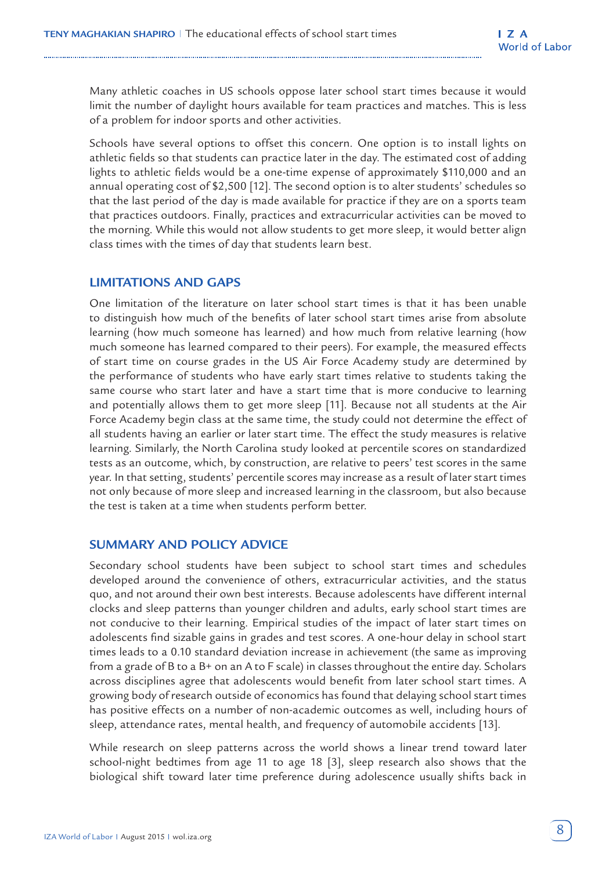Many athletic coaches in US schools oppose later school start times because it would limit the number of daylight hours available for team practices and matches. This is less of a problem for indoor sports and other activities.

Schools have several options to offset this concern. One option is to install lights on athletic fields so that students can practice later in the day. The estimated cost of adding lights to athletic fields would be a one-time expense of approximately \$110,000 and an annual operating cost of \$2,500 [12]. The second option is to alter students' schedules so that the last period of the day is made available for practice if they are on a sports team that practices outdoors. Finally, practices and extracurricular activities can be moved to the morning. While this would not allow students to get more sleep, it would better align class times with the times of day that students learn best.

## **LIMITATIONS AND GAPS**

One limitation of the literature on later school start times is that it has been unable to distinguish how much of the benefits of later school start times arise from absolute learning (how much someone has learned) and how much from relative learning (how much someone has learned compared to their peers). For example, the measured effects of start time on course grades in the US Air Force Academy study are determined by the performance of students who have early start times relative to students taking the same course who start later and have a start time that is more conducive to learning and potentially allows them to get more sleep [11]. Because not all students at the Air Force Academy begin class at the same time, the study could not determine the effect of all students having an earlier or later start time. The effect the study measures is relative learning. Similarly, the North Carolina study looked at percentile scores on standardized tests as an outcome, which, by construction, are relative to peers' test scores in the same year. In that setting, students' percentile scores may increase as a result of later start times not only because of more sleep and increased learning in the classroom, but also because the test is taken at a time when students perform better.

#### **SUMMARY AND POLICY ADVICE**

Secondary school students have been subject to school start times and schedules developed around the convenience of others, extracurricular activities, and the status quo, and not around their own best interests. Because adolescents have different internal clocks and sleep patterns than younger children and adults, early school start times are not conducive to their learning. Empirical studies of the impact of later start times on adolescents find sizable gains in grades and test scores. A one-hour delay in school start times leads to a 0.10 standard deviation increase in achievement (the same as improving from a grade of B to a B+ on an A to F scale) in classes throughout the entire day. Scholars across disciplines agree that adolescents would benefit from later school start times. A growing body of research outside of economics has found that delaying school start times has positive effects on a number of non-academic outcomes as well, including hours of sleep, attendance rates, mental health, and frequency of automobile accidents [13].

While research on sleep patterns across the world shows a linear trend toward later school-night bedtimes from age 11 to age 18 [3], sleep research also shows that the biological shift toward later time preference during adolescence usually shifts back in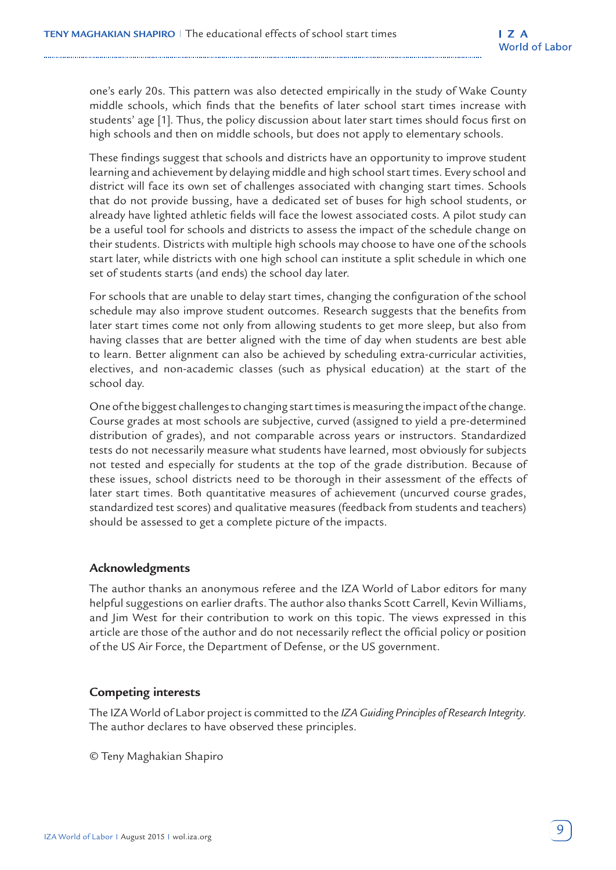one's early 20s. This pattern was also detected empirically in the study of Wake County middle schools, which finds that the benefits of later school start times increase with students' age [1]. Thus, the policy discussion about later start times should focus first on high schools and then on middle schools, but does not apply to elementary schools.

These findings suggest that schools and districts have an opportunity to improve student learning and achievement by delaying middle and high school start times. Every school and district will face its own set of challenges associated with changing start times. Schools that do not provide bussing, have a dedicated set of buses for high school students, or already have lighted athletic fields will face the lowest associated costs. A pilot study can be a useful tool for schools and districts to assess the impact of the schedule change on their students. Districts with multiple high schools may choose to have one of the schools start later, while districts with one high school can institute a split schedule in which one set of students starts (and ends) the school day later.

For schools that are unable to delay start times, changing the configuration of the school schedule may also improve student outcomes. Research suggests that the benefits from later start times come not only from allowing students to get more sleep, but also from having classes that are better aligned with the time of day when students are best able to learn. Better alignment can also be achieved by scheduling extra-curricular activities, electives, and non-academic classes (such as physical education) at the start of the school day.

One of the biggest challenges to changing start times is measuring the impact of the change. Course grades at most schools are subjective, curved (assigned to yield a pre-determined distribution of grades), and not comparable across years or instructors. Standardized tests do not necessarily measure what students have learned, most obviously for subjects not tested and especially for students at the top of the grade distribution. Because of these issues, school districts need to be thorough in their assessment of the effects of later start times. Both quantitative measures of achievement (uncurved course grades, standardized test scores) and qualitative measures (feedback from students and teachers) should be assessed to get a complete picture of the impacts.

## **Acknowledgments**

The author thanks an anonymous referee and the IZA World of Labor editors for many helpful suggestions on earlier drafts. The author also thanks Scott Carrell, Kevin Williams, and Jim West for their contribution to work on this topic. The views expressed in this article are those of the author and do not necessarily reflect the official policy or position of the US Air Force, the Department of Defense, or the US government.

## **Competing interests**

The IZA World of Labor project is committed to the *IZA Guiding Principles of Research Integrity*. The author declares to have observed these principles.

© Teny Maghakian Shapiro